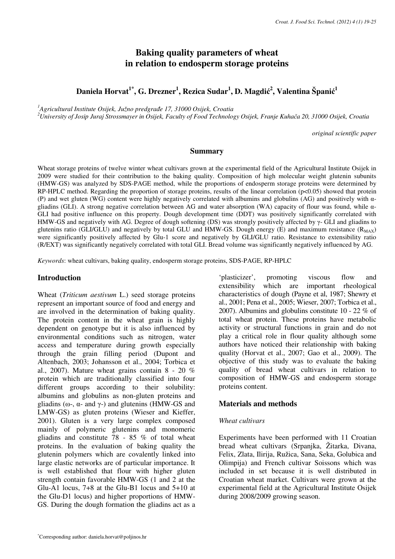# **Baking quality parameters of wheat in relation to endosperm storage proteins**

**Daniela Horvat1\*, G. Drezner<sup>1</sup> , Rezica Sudar<sup>1</sup> , D. Magdi**ć **2 , Valentina Špani**ć **1**

*<sup>1</sup>Agricultural Institute Osijek, Južno predgra*đ*e 17, 31000 Osijek, Croatia* 

*<sup>2</sup>University of Josip Juraj Strossmayer in Osijek, Faculty of Food Technology Osijek, Franje Kuha*č*a 20, 31000 Osijek, Croatia* 

*original scientific paper*

#### **Summary**

Wheat storage proteins of twelve winter wheat cultivars grown at the experimental field of the Agricultural Institute Osijek in 2009 were studied for their contribution to the baking quality. Composition of high molecular weight glutenin subunits (HMW-GS) was analyzed by SDS-PAGE method, while the proportions of endosperm storage proteins were determined by RP-HPLC method. Regarding the proportion of storage proteins, results of the linear correlation ( $p<0.05$ ) showed that protein (P) and wet gluten (WG) content were highly negatively correlated with albumins and globulins (AG) and positively with αgliadins (GLI). A strong negative correlation between AG and water absorption (WA) capacity of flour was found, while α-GLI had positive influence on this property. Dough development time (DDT) was positively significantly correlated with HMW-GS and negatively with AG. Degree of dough softening (DS) was strongly positively affected by γ- GLI and gliadins to glutenins ratio (GLI/GLU) and negatively by total GLU and HMW-GS. Dough energy (E) and maximum resistance ( $R_{MAX}$ ) were significantly positively affected by Glu-1 score and negatively by GLI/GLU ratio. Resistance to extensibility ratio (R/EXT) was significantly negatively correlated with total GLI. Bread volume was significantly negatively influenced by AG.

*Keywords*: wheat cultivars, baking quality, endosperm storage proteins, SDS-PAGE, RP-HPLC

#### **Introduction**

Wheat (*Triticum aestivum* L.) seed storage proteins represent an important source of food and energy and are involved in the determination of baking quality. The protein content in the wheat grain is highly dependent on genotype but it is also influenced by environmental conditions such as nitrogen, water access and temperature during growth especially through the grain filling period (Dupont and Altenbach, 2003; Johansson et al., 2004; Torbica et al., 2007). Mature wheat grains contain  $8 - 20\%$ protein which are traditionally classified into four different groups according to their solubility: albumins and globulins as non-gluten proteins and gliadins ( $ω$ -,  $α$ - and  $γ$ -) and glutenins (HMW-GS and LMW-GS) as gluten proteins (Wieser and Kieffer, 2001). Gluten is a very large complex composed mainly of polymeric glutenins and monomeric gliadins and constitute 78 - 85 % of total wheat proteins. In the evaluation of baking quality the glutenin polymers which are covalently linked into large elastic networks are of particular importance. It is well established that flour with higher gluten strength contain favorable HMW-GS (1 and 2 at the Glu-A1 locus, 7+8 at the Glu-B1 locus and 5+10 at the Glu-D1 locus) and higher proportions of HMW-GS. During the dough formation the gliadins act as a 'plasticizer', promoting viscous flow and extensibility which are important rheological characteristics of dough (Payne et al, 1987; Shewry et al., 2001; Pena et al., 2005; Wieser, 2007; Torbica et al., 2007). Albumins and globulins constitute 10 - 22 % of total wheat protein. These proteins have metabolic activity or structural functions in grain and do not play a critical role in flour quality although some authors have noticed their relationship with baking quality (Horvat et al., 2007; Gao et al., 2009). The objective of this study was to evaluate the baking quality of bread wheat cultivars in relation to composition of HMW-GS and endosperm storage proteins content.

#### **Materials and methods**

#### *Wheat cultivars*

Experiments have been performed with 11 Croatian bread wheat cultivars (Srpanjka, Žitarka, Divana, Felix, Zlata, Ilirija, Ružica, Sana, Seka, Golubica and Olimpija) and French cultivar Soissons which was included in set because it is well distributed in Croatian wheat market. Cultivars were grown at the experimental field at the Agricultural Institute Osijek during 2008/2009 growing season.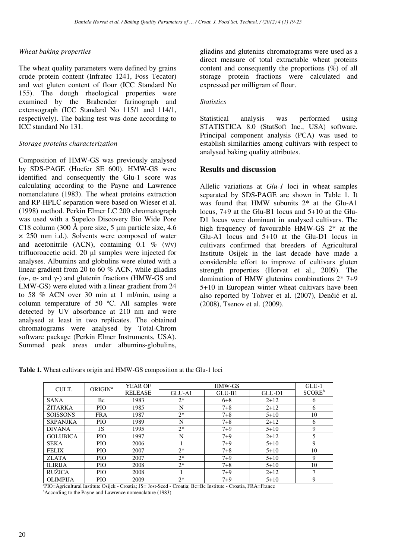# *Wheat baking properties*

The wheat quality parameters were defined by grains crude protein content (Infratec 1241, Foss Tecator) and wet gluten content of flour (ICC Standard No 155). The dough rheological properties were examined by the Brabender farinograph and extensograph (ICC Standard No 115/1 and 114/1, respectively). The baking test was done according to ICC standard No 131.

# *Storage proteins characterization*

Composition of HMW-GS was previously analysed by SDS-PAGE (Hoefer SE 600). HMW-GS were identified and consequently the Glu-1 score was calculating according to the Payne and Lawrence nomenclature (1983). The wheat proteins extraction and RP-HPLC separation were based on Wieser et al. (1998) method. Perkin Elmer LC 200 chromatograph was used with a Supelco Discovery Bio Wide Pore C18 column (300 Å pore size, 5 µm particle size, 4.6 × 250 mm i.d.). Solvents were composed of water and acetonitrile (ACN), containing  $0.1 \%$  (v/v) trifluoroacetic acid. 20 µl samples were injected for analyses. Albumins and globulins were eluted with a linear gradient from 20 to 60 % ACN, while gliadins (ω-, α- and γ-) and glutenin fractions (HMW-GS and LMW-GS) were eluted with a linear gradient from 24 to 58 % ACN over 30 min at 1 ml/min, using a column temperature of 50 ºC. All samples were detected by UV absorbance at 210 nm and were analysed at least in two replicates. The obtained chromatograms were analysed by Total-Chrom software package (Perkin Elmer Instruments, USA). Summed peak areas under albumins-globulins,

gliadins and glutenins chromatograms were used as a direct measure of total extractable wheat proteins content and consequently the proportions (%) of all storage protein fractions were calculated and expressed per milligram of flour.

## *Statistics*

Statistical analysis was performed using STATISTICA 8.0 (StatSoft Inc., USA) software. Principal component analysis (PCA) was used to establish similarities among cultivars with respect to analysed baking quality attributes.

# **Results and discussion**

Allelic variations at *Glu-1* loci in wheat samples separated by SDS-PAGE are shown in Table 1. It was found that HMW subunits 2\* at the Glu-A1 locus, 7+9 at the Glu-B1 locus and 5+10 at the Glu-D1 locus were dominant in analysed cultivars. The high frequency of favourable HMW-GS 2\* at the Glu-A1 locus and 5+10 at the Glu-D1 locus in cultivars confirmed that breeders of Agricultural Institute Osijek in the last decade have made a considerable effort to improve of cultivars gluten strength properties (Horvat et al., 2009). The domination of HMW glutenins combinations 2\* 7+9 5+10 in European winter wheat cultivars have been also reported by Tohver et al. (2007), Denčić et al. (2008), Tsenov et al. (2009).

**Table 1.** Wheat cultivars origin and HMW-GS composition at the Glu-1 loci

| CULT.           | <b>ORIGIN</b> <sup>a</sup> | <b>YEAR OF</b> |        | $GLU-1$ |          |                    |
|-----------------|----------------------------|----------------|--------|---------|----------|--------------------|
|                 |                            | <b>RELEASE</b> | GLU-A1 | GLU-B1  | GLU-D1   | SCORE <sup>b</sup> |
| <b>SANA</b>     | <b>Bc</b>                  | 1983           | $2*$   | $6 + 8$ | $2+12$   | 6                  |
| <b>ŽITARKA</b>  | <b>PIO</b>                 | 1985           | N      | $7 + 8$ | $2+12$   | 6                  |
| <b>SOISSONS</b> | <b>FRA</b>                 | 1987           | $2*$   | $7 + 8$ | $5 + 10$ | 10                 |
| <b>SRPANJKA</b> | PIO                        | 1989           | N      | $7 + 8$ | $2+12$   | 6                  |
| <b>DIVANA</b>   | JS                         | 1995           | $2*$   | $7 + 9$ | $5 + 10$ | 9                  |
| <b>GOLUBICA</b> | PIO                        | 1997           | N      | $7 + 9$ | $2+12$   | 5                  |
| <b>SEKA</b>     | <b>PIO</b>                 | 2006           |        | $7 + 9$ | $5 + 10$ | 9                  |
| <b>FELIX</b>    | <b>PIO</b>                 | 2007           | $2*$   | $7 + 8$ | $5 + 10$ | 10                 |
| <b>ZLATA</b>    | PIO                        | 2007           | $2*$   | $7 + 9$ | $5 + 10$ | 9                  |
| <b>ILIRIJA</b>  | <b>PIO</b>                 | 2008           | $2*$   | $7 + 8$ | $5 + 10$ | 10                 |
| <b>RUŽICA</b>   | PIO                        | 2008           |        | $7 + 9$ | $2+12$   | 7                  |
| <b>OLIMPIJA</b> | PIO                        | 2009           | $2*$   | $7 + 9$ | $5 + 10$ | 9                  |

a PIO=Agricultural Institute Osijek - Croatia; JS= Jost-Seed - Croatia; Bc=Bc Institute - Croatia, FRA=France

<sup>b</sup>According to the Payne and Lawrence nomenclature (1983)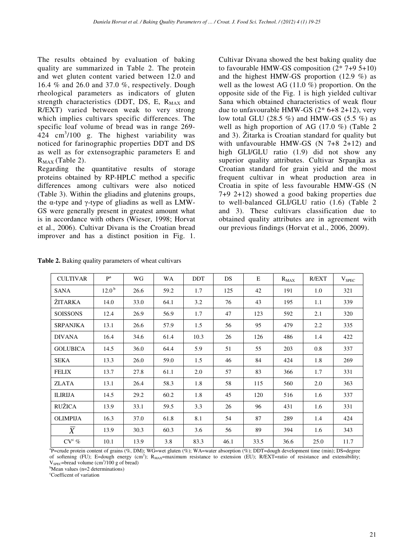The results obtained by evaluation of baking quality are summarized in Table 2. The protein and wet gluten content varied between 12.0 and 16.4 % and 26.0 and 37.0 %, respectively. Dough rheological parameters as indicators of gluten strength characteristics (DDT, DS, E,  $R_{MAX}$  and R/EXT) varied between weak to very strong which implies cultivars specific differences. The specific loaf volume of bread was in range 269-  $424$  cm<sup>3</sup>/100 g. The highest variability was noticed for farinographic properties DDT and DS as well as for extensographic parameters E and  $R_{MAX}$  (Table 2).

Regarding the quantitative results of storage proteins obtained by RP-HPLC method a specific differences among cultivars were also noticed (Table 3). Within the gliadins and glutenins groups, the α-type and γ-type of gliadins as well as LMW-GS were generally present in greatest amount what is in accordance with others (Wieser, 1998; Horvat et al., 2006). Cultivar Divana is the Croatian bread improver and has a distinct position in Fig. 1. Cultivar Divana showed the best baking quality due to favourable HMW-GS composition (2\* 7+9 5+10) and the highest HMW-GS proportion (12.9 %) as well as the lowest AG  $(11.0\%)$  proportion. On the opposite side of the Fig. 1 is high yielded cultivar Sana which obtained characteristics of weak flour due to unfavourable HMW-GS (2\* 6+8 2+12), very low total GLU (28.5  $%$ ) and HMW-GS (5.5  $%$ ) as well as high proportion of AG (17.0 %) (Table 2 and 3). Žitarka is Croatian standard for quality but with unfavourable HMW-GS (N 7+8 2+12) and high GLI/GLU ratio (1.9) did not show any superior quality attributes. Cultivar Srpanjka as Croatian standard for grain yield and the most frequent cultivar in wheat production area in Croatia in spite of less favourable HMW-GS (N 7+9 2+12) showed a good baking properties due to well-balanced GLI/GLU ratio (1.6) (Table 2 and 3). These cultivars classification due to obtained quality attributes are in agreement with our previous findings (Horvat et al., 2006, 2009).

| <b>CULTIVAR</b> | $P^a$             | WG   | <b>WA</b> | <b>DDT</b> | DS   | E    | $R_{MAX}$ | R/EXT | $V_{\rm SPEC}$ |
|-----------------|-------------------|------|-----------|------------|------|------|-----------|-------|----------------|
| <b>SANA</b>     | 12.0 <sup>b</sup> | 26.6 | 59.2      | 1.7        | 125  | 42   | 191       | 1.0   | 321            |
| <b>ŽITARKA</b>  | 14.0              | 33.0 | 64.1      | 3.2        | 76   | 43   | 195       | 1.1   | 339            |
| <b>SOISSONS</b> | 12.4              | 26.9 | 56.9      | 1.7        | 47   | 123  | 592       | 2.1   | 320            |
| <b>SRPANJKA</b> | 13.1              | 26.6 | 57.9      | 1.5        | 56   | 95   | 479       | 2.2   | 335            |
| <b>DIVANA</b>   | 16.4              | 34.6 | 61.4      | 10.3       | 26   | 126  | 486       | 1.4   | 422            |
| <b>GOLUBICA</b> | 14.5              | 36.0 | 64.4      | 5.9        | 51   | 55   | 203       | 0.8   | 337            |
| SEKA            | 13.3              | 26.0 | 59.0      | 1.5        | 46   | 84   | 424       | 1.8   | 269            |
| <b>FELIX</b>    | 13.7              | 27.8 | 61.1      | 2.0        | 57   | 83   | 366       | 1.7   | 331            |
| <b>ZLATA</b>    | 13.1              | 26.4 | 58.3      | 1.8        | 58   | 115  | 560       | 2.0   | 363            |
| <b>ILIRIJA</b>  | 14.5              | 29.2 | 60.2      | 1.8        | 45   | 120  | 516       | 1.6   | 337            |
| <b>RUŽICA</b>   | 13.9              | 33.1 | 59.5      | 3.3        | 26   | 96   | 431       | 1.6   | 331            |
| <b>OLIMPIJA</b> | 16.3              | 37.0 | 61.8      | 8.1        | 54   | 87   | 289       | 1.4   | 424            |
| $\overline{X}$  | 13.9              | 30.3 | 60.3      | 3.6        | 56   | 89   | 394       | 1.6   | 343            |
| $CV^c$ %        | 10.1              | 13.9 | 3.8       | 83.3       | 46.1 | 33.5 | 36.6      | 25.0  | 11.7           |

Table 2. Baking quality parameters of wheat cultivars

a P=crude protein content of grains (%, DM); WG=wet gluten (%); WA=water absorption (%); DDT=dough development time (min); DS=degree of softening (FU); E=dough energy (cm<sup>2</sup>); R<sub>MAX</sub>=maximum resistance to extension (EU); R/EXT=ratio of resistance and extensibility;  $V<sub>SPEC</sub>=\text{bread volume } (cm<sup>3</sup>/100 g of bread)$ 

 $<sup>b</sup>Mean values (n=2 determinations)$ </sup>

<sup>c</sup>Coefficent of variation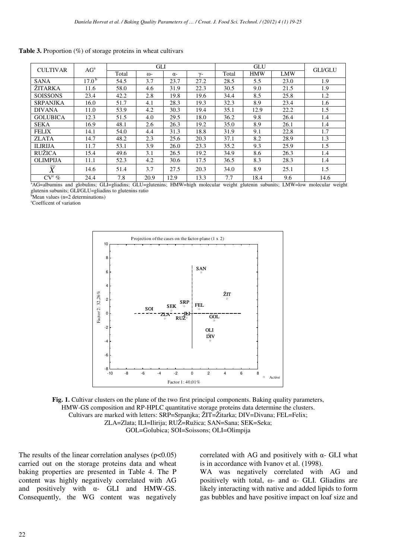| <b>CULTIVAR</b> | AG <sup>a</sup>   | GLI   |      |            |                 | <b>GLU</b> |            |            | <b>GLI/GLU</b> |
|-----------------|-------------------|-------|------|------------|-----------------|------------|------------|------------|----------------|
|                 |                   | Total | (1)  | $\alpha$ - | $\mathcal{V}$ - | Total      | <b>HMW</b> | <b>LMW</b> |                |
| <b>SANA</b>     | 17.0 <sup>b</sup> | 54.5  | 3.7  | 23.7       | 27.2            | 28.5       | 5.5        | 23.0       | 1.9            |
| <b>ŽITARKA</b>  | 11.6              | 58.0  | 4.6  | 31.9       | 22.3            | 30.5       | 9.0        | 21.5       | 1.9            |
| <b>SOISSONS</b> | 23.4              | 42.2  | 2.8  | 19.8       | 19.6            | 34.4       | 8.5        | 25.8       | 1.2            |
| <b>SRPANJKA</b> | 16.0              | 51.7  | 4.1  | 28.3       | 19.3            | 32.3       | 8.9        | 23.4       | 1.6            |
| <b>DIVANA</b>   | 11.0              | 53.9  | 4.2  | 30.3       | 19.4            | 35.1       | 12.9       | 22.2       | 1.5            |
| <b>GOLUBICA</b> | 12.3              | 51.5  | 4.0  | 29.5       | 18.0            | 36.2       | 9.8        | 26.4       | 1.4            |
| <b>SEKA</b>     | 16.9              | 48.1  | 2.6  | 26.3       | 19.2            | 35.0       | 8.9        | 26.1       | 1.4            |
| <b>FELIX</b>    | 14.1              | 54.0  | 4.4  | 31.3       | 18.8            | 31.9       | 9.1        | 22.8       | 1.7            |
| <b>ZLATA</b>    | 14.7              | 48.2  | 2.3  | 25.6       | 20.3            | 37.1       | 8.2        | 28.9       | 1.3            |
| <b>ILIRIJA</b>  | 11.7              | 53.1  | 3.9  | 26.0       | 23.3            | 35.2       | 9.3        | 25.9       | 1.5            |
| <b>RUŽICA</b>   | 15.4              | 49.6  | 3.1  | 26.5       | 19.2            | 34.9       | 8.6        | 26.3       | 1.4            |
| <b>OLIMPIJA</b> | 11.1              | 52.3  | 4.2  | 30.6       | 17.5            | 36.5       | 8.3        | 28.3       | 1.4            |
| $\overline{X}$  | 14.6              | 51.4  | 3.7  | 27.5       | 20.3            | 34.0       | 8.9        | 25.1       | 1.5            |
| $CV^c$ %        | 24.4              | 7.8   | 20.9 | 12.9       | 13.3            | 7.7        | 18.4       | 9.6        | 14.6           |

**Table 3.** Proportion (%) of storage proteins in wheat cultivars

<sup>a</sup>AG=albumins and globulins; GLI=gliadins; GLU=glutenins; HMW=high molecular weight glutenin subunits; LMW=low molecular weight glutenin subunits; GLI/GLU=gliadins to glutenins ratio

 $b<sup>b</sup>$ Mean values (n=2 determinations)

<sup>c</sup>Coefficent of variation



**Fig. 1.** Cultivar clusters on the plane of the two first principal components. Baking quality parameters, HMW-GS composition and RP-HPLC quantitative storage proteins data determine the clusters. Cultivars are marked with letters: SRP=Srpanjka; ŽIT=Žitarka; DIV=Divana; FEL=Felix; ZLA=Zlata; ILI=Ilirija; RUŽ=Ružica; SAN=Sana; SEK=Seka; GOL=Golubica; SOI=Soissons; OLI=Olimpija

The results of the linear correlation analyses  $(p<0.05)$ carried out on the storage proteins data and wheat baking properties are presented in Table 4. The P content was highly negatively correlated with AG and positively with  $\alpha$ - GLI and HMW-GS. Consequently, the WG content was negatively correlated with AG and positively with α- GLI what is in accordance with Ivanov et al. (1998).

WA was negatively correlated with AG and positively with total, ω- and α- GLI. Gliadins are likely interacting with native and added lipids to form gas bubbles and have positive impact on loaf size and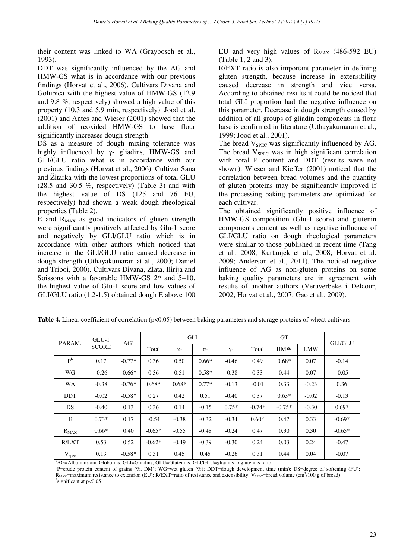their content was linked to WA (Graybosch et al., 1993).

DDT was significantly influenced by the AG and HMW-GS what is in accordance with our previous findings (Horvat et al., 2006). Cultivars Divana and Golubica with the highest value of HMW-GS (12.9 and 9.8 %, respectively) showed a high value of this property (10.3 and 5.9 min, respectively). Jood et al. (2001) and Antes and Wieser (2001) showed that the addition of reoxided HMW-GS to base flour significantly increases dough strength.

DS as a measure of dough mixing tolerance was highly influenced by γ- gliadins, HMW-GS and GLI/GLU ratio what is in accordance with our previous findings (Horvat et al., 2006). Cultivar Sana and Žitarka with the lowest proportions of total GLU (28.5 and 30.5 %, respectively) (Table 3) and with the highest value of DS (125 and 76 FU, respectively) had shown a weak dough rheological properties (Table 2).

E and  $R_{MAX}$  as good indicators of gluten strength were significantly positively affected by Glu-1 score and negatively by GLI/GLU ratio which is in accordance with other authors which noticed that increase in the GLI/GLU ratio caused decrease in dough strength (Uthayakumaran at al., 2000; Daniel and Triboi, 2000). Cultivars Divana, Zlata, Ilirija and Soissons with a favorable HMW-GS 2\* and 5+10, the highest value of Glu-1 score and low values of GLI/GLU ratio (1.2-1.5) obtained dough E above 100 EU and very high values of  $R_{MAX}$  (486-592 EU) (Table 1, 2 and 3).

R/EXT ratio is also important parameter in defining gluten strength, because increase in extensibility caused decrease in strength and vice versa. According to obtained results it could be noticed that total GLI proportion had the negative influence on this parameter. Decrease in dough strength caused by addition of all groups of gliadin components in flour base is confirmed in literature (Uthayakumaran et al., 1999; Jood et al., 2001).

The bread  $V_{\text{SPEC}}$  was significantly influenced by AG. The bread  $V_{\text{SPEC}}$  was in high significant correlation with total P content and DDT (results were not shown). Wieser and Kieffer (2001) noticed that the correlation between bread volumes and the quantity of gluten proteins may be significantly improved if the processing baking parameters are optimized for each cultivar.

The obtained significantly positive influence of HMW-GS composition (Glu-1 score) and glutenin components content as well as negative influence of GLI/GLU ratio on dough rheological parameters were similar to those published in recent time (Tang et al., 2008; Kurtanjek et al., 2008; Horvat et al. 2009; Anderson et al., 2011). The noticed negative influence of AG as non-gluten proteins on some baking quality parameters are in agreement with results of another authors (Veraverbeke i Delcour, 2002; Horvat et al., 2007; Gao et al., 2009).

| $GLU-1$<br>PARAM.<br><b>SCORE</b>    |                  | AG <sup>a</sup>                                              | GLI      |                  |            |         | <b>GT</b>  |            |         | <b>GLI/GLU</b> |
|--------------------------------------|------------------|--------------------------------------------------------------|----------|------------------|------------|---------|------------|------------|---------|----------------|
|                                      |                  | Total                                                        | ω-       | $\alpha$ -       | $\gamma$ - | Total   | <b>HMW</b> | <b>LMW</b> |         |                |
| P <sub>b</sub>                       | 0.17             | $-0.77*$                                                     | 0.36     | 0.50             | $0.66*$    | $-0.46$ | 0.49       | $0.68*$    | 0.07    | $-0.14$        |
| WG                                   | $-0.26$          | $-0.66*$                                                     | 0.36     | 0.51             | $0.58*$    | $-0.38$ | 0.33       | 0.44       | 0.07    | $-0.05$        |
| WA                                   | $-0.38$          | $-0.76*$                                                     | $0.68*$  | $0.68*$          | $0.77*$    | $-0.13$ | $-0.01$    | 0.33       | $-0.23$ | 0.36           |
| <b>DDT</b>                           | $-0.02$          | $-0.58*$                                                     | 0.27     | 0.42             | 0.51       | $-0.40$ | 0.37       | $0.63*$    | $-0.02$ | $-0.13$        |
| DS                                   | $-0.40$          | 0.13                                                         | 0.36     | 0.14             | $-0.15$    | $0.75*$ | $-0.74*$   | $-0.75*$   | $-0.30$ | $0.69*$        |
| E                                    | $0.73*$          | 0.17                                                         | $-0.54$  | $-0.38$          | $-0.32$    | $-0.34$ | $0.60*$    | 0.47       | 0.33    | $-0.69*$       |
| $R_{MAX}$                            | $0.66*$          | 0.40                                                         | $-0.65*$ | $-0.55$          | $-0.48$    | $-0.24$ | 0.47       | 0.30       | 0.30    | $-0.65*$       |
| R/EXT                                | 0.53             | 0.52                                                         | $-0.62*$ | $-0.49$          | $-0.39$    | $-0.30$ | 0.24       | 0.03       | 0.24    | $-0.47$        |
| V <sub>spec</sub><br>$3.4 \times 11$ | 0.13<br>1.71.1.1 | $-0.58*$<br>$\sim$ $\sim$ $\sim$ $\sim$ $\sim$ $\sim$ $\sim$ | 0.31     | 0.45<br>$\alpha$ | 0.45<br>C1 | $-0.26$ | 0.31       | 0.44       | 0.04    | $-0.07$        |

**Table 4.** Linear coefficient of correlation ( $p<0.05$ ) between baking parameters and storage proteins of wheat cultivars

<sup>a</sup>AG=Albumins and Globulins; GLI=Gliadins; GLU=Glutenins; GLI/GLU=gliadins to glutenins ratio

<sup>b</sup>P=crude protein content of grains (%, DM); WG=wet gluten (%); DDT=dough development time (min); DS=degree of softening (FU);  $R_{MAX}$ =maximum resistance to extension (EU); R/EXT=ratio of resistance and extensibility;  $V_{SPEC}$ =bread volume (cm<sup>3</sup>/100 g of bread) \* significant at p<0.05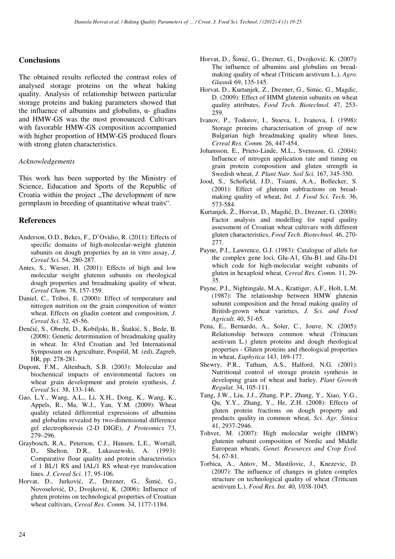### **Conclusions**

The obtained results reflected the contrast roles of analysed storage proteins on the wheat baking quality. Analysis of relationship between particular storage proteins and baking parameters showed that the influence of albumins and globulins,  $\alpha$ - gliadins and HMW-GS was the most pronounced. Cultivars with favorable HMW-GS composition accompanied with higher proportion of HMW-GS produced flours with strong gluten characteristics.

### *Acknowledgements*

This work has been supported by the Ministry of Science, Education and Sports of the Republic of Croatia within the project "The development of new germplasm in breeding of quantitative wheat traits".

# **References**

- Anderson, O.D., Bekes, F., D'Ovidio, R. (2011): Effects of specific domains of high-molecular-weight glutenin subunits on dough properties by an in vitro assay, *J. Cereal Sci.* 54, 280-287.
- Antes, S., Wieser, H. (2001): Effects of high and low molecular weight glutenin subunits on rheological dough properties and breadmaking quality of wheat, *Cereal Chem.* 78, 157-159.
- Daniel, C., Triboi, E. (2000): Effect of temperature and nitrogen nutrition on the grain composition of winter wheat. Effects on gliadin content and composition, *J. Cereal Sci.* 32, 45-56.
- Denčić, S., Obreht, D., Kobiljski, B., Štatkić, S., Bede, B. (2008): Genetic determination of breadmaking quality in wheat. In: 43rd Croatian and 3rd International Symposium on Agriculture, Pospišil, M. (ed), Zagreb, HR, pp. 278-281.
- Dupont, F.M., Altenbach, S.B. (2003): Molecular and biochemical impacts of environmental factors on wheat grain development and protein synthesis, *J. Cereal Sci.* 38, 133-146.
- Gao, L.Y., Wang, A.L., Li, X.H., Dong, K., Wang, K., Appels, R., Ma, W.J., Yan, Y.M. (2009): Wheat quality related differential expressions of albumins and globulins revealed by two-dimensional difference gel electrophoresis (2-D DIGE), *J Proteomics* 73, 279–296.
- Graybosch, R.A., Peterson, C.J., Hansen, L.E., Worrall, D., Shelton, D.R., Lukaszewski, A. (1993): Comparative flour quality and protein characteristics of 1 BL/1 RS and lAL/1 RS wheat-rye translocation lines. *J. Cereal Sci.* 17, 95-106.
- Horvat, D., Jurković, Z., Drezner, G., Šimić, G., Novoselović, D., Dvojković, K. (2006): Influence of gluten proteins on technological properties of Croatian wheat cultivars, *Cereal Res. Comm.* 34, 1177-1184.
- Horvat, D., Šimić, G., Drezner, G., Dvojković, K. (2007): The influence of albumins and globulins on breadmaking quality of wheat (Triticum aestivum L.), *Agro. Glasnik* 69, 135-145.
- Horvat, D., Kurtanjek, Z., Drezner, G., Simic, G., Magdic, D. (2009): Effect of HMM glutenin subunits on wheat quality attributes, *Food Tech. Biotechnol*. 47, 253- 259.
- Ivanov, P., Todorov, I., Stoeva, I., Ivanova, I. (1998): Storage proteins characterisation of group of new Bulgarian high breadmaking quality wheat lines, *Cereal Res. Comm.* 26, 447-454.
- Johansson, E., Prieto-Linde, M.L., Svensson, G. (2004): Influence of nitrogen application rate and timing on grain protein composition and gluten strength in Swedish wheat, *J. Plant Nutr. Soil Sci.* 167, 345-350.
- Jood, S., Schofield, J.D., Tsiami, A.A., Bollecker, S. (2001): Effect of glutenin subfractions on breadmaking quality of wheat, *Int. J. Food Sci. Tech.* 36, 573-584.
- Kurtanjek, Ž., Horvat, D., Magdić, D., Drezner, G. (2008): Factor analysis and modelling for rapid quality assessment of Croatian wheat cultivars with different gluten characteristics, *Food Tech. Biotechnol.* 46, 270- 277.
- Payne, P.I., Lawrence, G.J. (1983): Catalogue of allels for the complex gene loci, Glu-A1, Glu-B1 and Glu-D1 which code for high-molecular weight subunits of gluten in hexaploid wheat, *Cereal Res. Comm.* 11, 29- 35.
- Payne, P.I., Nightingale, M.A., Krattiger, A.F., Holt, L.M. (1987): The relationship between HMW glutenin subunit composition and the bread making quality of British-grown wheat varieties, *J. Sci. and Food Agricult*. 40, 51-65.
- Pena, E., Bernardo, A., Soler, C., Jouve, N. (2005): Relationship between common wheat (Tritucum aestivum L.) gluten proteins and dough rheological properties - Gluten proteins and rheological properties in wheat, *Euphytica* 143, 169-177.
- Shewry, P.R., Tatham, A.S., Halford, N.G. (2001): Nutritional control of storage protein synthesis in developing grain of wheat and barley, *Plant Growth Regulat.* 34, 105-111.
- Tang, J.W., Liu, J.J., Zhang, P.P., Zhang, Y., Xiao, Y.G., Qu, Y.Y., Zhang, Y., He, Z.H. (2008): Effects of gluten protein fractions on dough property and products quality in common wheat, *Sci. Agr. Sinica* 41, 2937-2946.
- Tohver, M. (2007): High molecular weight (HMW) glutenin subunit composition of Nordic and Middle European wheats, *Genet. Resources and Crop Evol.* 54, 67-81.
- Torbica, A., Antov, M., Mastilovic, J., Knezevic, D. (2007): The influence of changes in gluten complex structure on technological quality of wheat (Triticum aestivum L.), *Food Res. Int.* 40, 1038-1045.